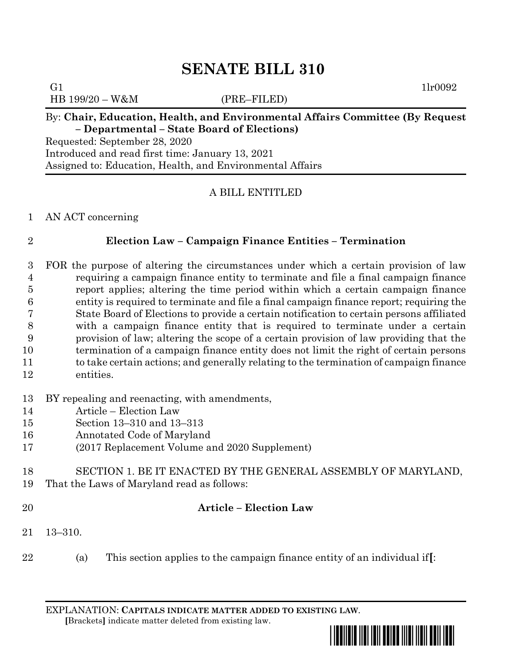# **SENATE BILL 310**

HB 199/20 – W&M (PRE–FILED)

## G1  $1\text{l}r0092$

### By: **Chair, Education, Health, and Environmental Affairs Committee (By Request – Departmental – State Board of Elections)**

Requested: September 28, 2020 Introduced and read first time: January 13, 2021 Assigned to: Education, Health, and Environmental Affairs

### A BILL ENTITLED

### AN ACT concerning

### **Election Law – Campaign Finance Entities – Termination**

 FOR the purpose of altering the circumstances under which a certain provision of law requiring a campaign finance entity to terminate and file a final campaign finance report applies; altering the time period within which a certain campaign finance entity is required to terminate and file a final campaign finance report; requiring the State Board of Elections to provide a certain notification to certain persons affiliated with a campaign finance entity that is required to terminate under a certain provision of law; altering the scope of a certain provision of law providing that the termination of a campaign finance entity does not limit the right of certain persons 11 to take certain actions; and generally relating to the termination of campaign finance entities.

## BY repealing and reenacting, with amendments,

- Article Election Law
- Section 13–310 and 13–313
- Annotated Code of Maryland
- (2017 Replacement Volume and 2020 Supplement)

 SECTION 1. BE IT ENACTED BY THE GENERAL ASSEMBLY OF MARYLAND, That the Laws of Maryland read as follows:

## **Article – Election Law**

- 13–310.
- (a) This section applies to the campaign finance entity of an individual if**[**:

EXPLANATION: **CAPITALS INDICATE MATTER ADDED TO EXISTING LAW**.  **[**Brackets**]** indicate matter deleted from existing law.

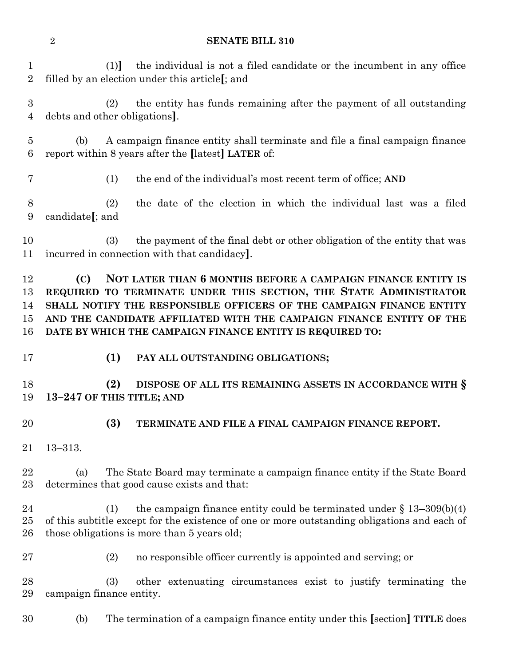### **SENATE BILL 310**

 (1)**]** the individual is not a filed candidate or the incumbent in any office filled by an election under this article**[**; and

 (2) the entity has funds remaining after the payment of all outstanding debts and other obligations**]**.

 (b) A campaign finance entity shall terminate and file a final campaign finance report within 8 years after the **[**latest**] LATER** of:

(1) the end of the individual's most recent term of office; **AND**

 (2) the date of the election in which the individual last was a filed candidate**[**; and

 (3) the payment of the final debt or other obligation of the entity that was incurred in connection with that candidacy**]**.

 **(C) NOT LATER THAN 6 MONTHS BEFORE A CAMPAIGN FINANCE ENTITY IS REQUIRED TO TERMINATE UNDER THIS SECTION, THE STATE ADMINISTRATOR SHALL NOTIFY THE RESPONSIBLE OFFICERS OF THE CAMPAIGN FINANCE ENTITY AND THE CANDIDATE AFFILIATED WITH THE CAMPAIGN FINANCE ENTITY OF THE DATE BY WHICH THE CAMPAIGN FINANCE ENTITY IS REQUIRED TO:**

**(1) PAY ALL OUTSTANDING OBLIGATIONS;**

 **(2) DISPOSE OF ALL ITS REMAINING ASSETS IN ACCORDANCE WITH § 13–247 OF THIS TITLE; AND**

- 
- **(3) TERMINATE AND FILE A FINAL CAMPAIGN FINANCE REPORT.**

13–313.

 (a) The State Board may terminate a campaign finance entity if the State Board determines that good cause exists and that:

24 (1) the campaign finance entity could be terminated under  $§$  13–309(b)(4) of this subtitle except for the existence of one or more outstanding obligations and each of those obligations is more than 5 years old;

(2) no responsible officer currently is appointed and serving; or

 (3) other extenuating circumstances exist to justify terminating the campaign finance entity.

(b) The termination of a campaign finance entity under this **[**section**] TITLE** does